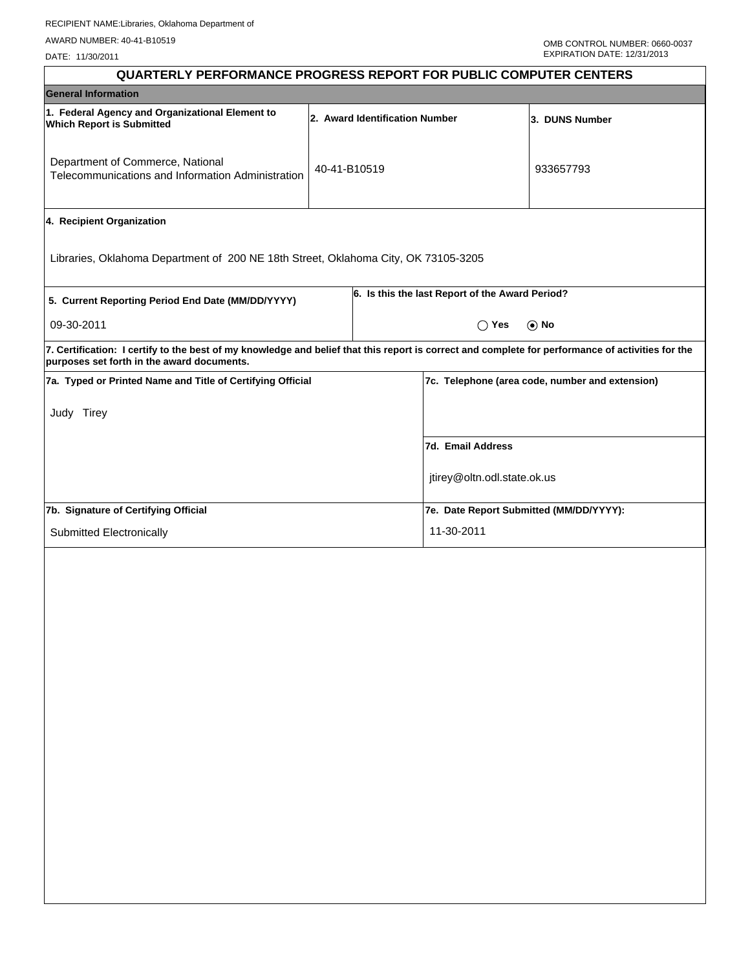| <b>QUARTERLY PERFORMANCE PROGRESS REPORT FOR PUBLIC COMPUTER CENTERS</b>                                                                                                                        |              |  |                                                 |                                                 |  |  |
|-------------------------------------------------------------------------------------------------------------------------------------------------------------------------------------------------|--------------|--|-------------------------------------------------|-------------------------------------------------|--|--|
| <b>General Information</b>                                                                                                                                                                      |              |  |                                                 |                                                 |  |  |
| 1. Federal Agency and Organizational Element to<br>2. Award Identification Number<br><b>Which Report is Submitted</b>                                                                           |              |  |                                                 | 3. DUNS Number                                  |  |  |
| Department of Commerce, National<br>Telecommunications and Information Administration                                                                                                           | 40-41-B10519 |  |                                                 | 933657793                                       |  |  |
| 4. Recipient Organization                                                                                                                                                                       |              |  |                                                 |                                                 |  |  |
| Libraries, Oklahoma Department of 200 NE 18th Street, Oklahoma City, OK 73105-3205                                                                                                              |              |  |                                                 |                                                 |  |  |
| 5. Current Reporting Period End Date (MM/DD/YYYY)                                                                                                                                               |              |  | 6. Is this the last Report of the Award Period? |                                                 |  |  |
| 09-30-2011                                                                                                                                                                                      |              |  | $\bigcirc$ Yes                                  | $\odot$ No                                      |  |  |
| 7. Certification: I certify to the best of my knowledge and belief that this report is correct and complete for performance of activities for the<br>purposes set forth in the award documents. |              |  |                                                 |                                                 |  |  |
| 7a. Typed or Printed Name and Title of Certifying Official                                                                                                                                      |              |  |                                                 | 7c. Telephone (area code, number and extension) |  |  |
| Judy Tirey                                                                                                                                                                                      |              |  |                                                 |                                                 |  |  |
|                                                                                                                                                                                                 |              |  | 7d. Email Address                               |                                                 |  |  |
|                                                                                                                                                                                                 |              |  | jtirey@oltn.odl.state.ok.us                     |                                                 |  |  |
| 7b. Signature of Certifying Official                                                                                                                                                            |              |  | 7e. Date Report Submitted (MM/DD/YYYY):         |                                                 |  |  |
| Submitted Electronically                                                                                                                                                                        |              |  | 11-30-2011                                      |                                                 |  |  |
|                                                                                                                                                                                                 |              |  |                                                 |                                                 |  |  |
|                                                                                                                                                                                                 |              |  |                                                 |                                                 |  |  |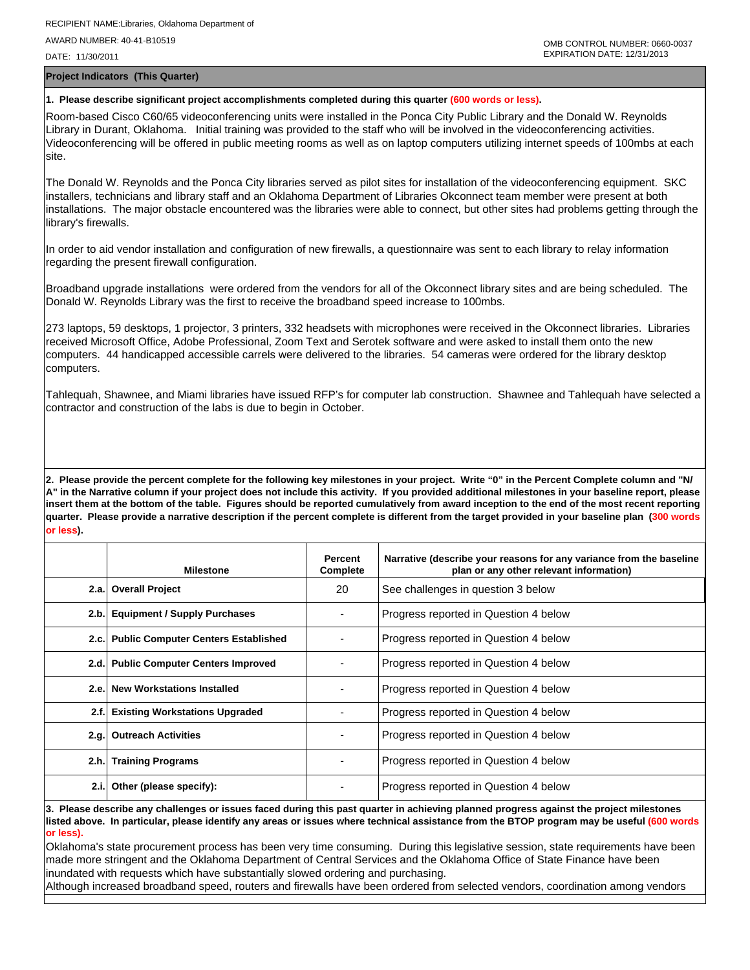**Project Indicators (This Quarter)**

## **1. Please describe significant project accomplishments completed during this quarter (600 words or less).**

Room-based Cisco C60/65 videoconferencing units were installed in the Ponca City Public Library and the Donald W. Reynolds Library in Durant, Oklahoma. Initial training was provided to the staff who will be involved in the videoconferencing activities. Videoconferencing will be offered in public meeting rooms as well as on laptop computers utilizing internet speeds of 100mbs at each site.

The Donald W. Reynolds and the Ponca City libraries served as pilot sites for installation of the videoconferencing equipment. SKC installers, technicians and library staff and an Oklahoma Department of Libraries Okconnect team member were present at both installations. The major obstacle encountered was the libraries were able to connect, but other sites had problems getting through the library's firewalls.

In order to aid vendor installation and configuration of new firewalls, a questionnaire was sent to each library to relay information regarding the present firewall configuration.

Broadband upgrade installations were ordered from the vendors for all of the Okconnect library sites and are being scheduled. The Donald W. Reynolds Library was the first to receive the broadband speed increase to 100mbs.

273 laptops, 59 desktops, 1 projector, 3 printers, 332 headsets with microphones were received in the Okconnect libraries. Libraries received Microsoft Office, Adobe Professional, Zoom Text and Serotek software and were asked to install them onto the new computers. 44 handicapped accessible carrels were delivered to the libraries. 54 cameras were ordered for the library desktop computers.

Tahlequah, Shawnee, and Miami libraries have issued RFP's for computer lab construction. Shawnee and Tahlequah have selected a contractor and construction of the labs is due to begin in October.

**2. Please provide the percent complete for the following key milestones in your project. Write "0" in the Percent Complete column and "N/ A" in the Narrative column if your project does not include this activity. If you provided additional milestones in your baseline report, please insert them at the bottom of the table. Figures should be reported cumulatively from award inception to the end of the most recent reporting quarter. Please provide a narrative description if the percent complete is different from the target provided in your baseline plan (300 words or less).**

|      | <b>Milestone</b>                         | Percent<br>Complete | Narrative (describe your reasons for any variance from the baseline<br>plan or any other relevant information) |
|------|------------------------------------------|---------------------|----------------------------------------------------------------------------------------------------------------|
|      | 2.a. Overall Project                     | 20                  | See challenges in question 3 below                                                                             |
|      | 2.b. Equipment / Supply Purchases        |                     | Progress reported in Question 4 below                                                                          |
|      | 2.c. Public Computer Centers Established |                     | Progress reported in Question 4 below                                                                          |
|      | 2.d. Public Computer Centers Improved    |                     | Progress reported in Question 4 below                                                                          |
|      | 2.e. New Workstations Installed          |                     | Progress reported in Question 4 below                                                                          |
| 2.f. | <b>Existing Workstations Upgraded</b>    |                     | Progress reported in Question 4 below                                                                          |
|      | 2.g. Outreach Activities                 |                     | Progress reported in Question 4 below                                                                          |
| 2.h. | <b>Training Programs</b>                 |                     | Progress reported in Question 4 below                                                                          |
| 2.i. | Other (please specify):                  |                     | Progress reported in Question 4 below                                                                          |

**3. Please describe any challenges or issues faced during this past quarter in achieving planned progress against the project milestones listed above. In particular, please identify any areas or issues where technical assistance from the BTOP program may be useful (600 words or less).**

Oklahoma's state procurement process has been very time consuming. During this legislative session, state requirements have been made more stringent and the Oklahoma Department of Central Services and the Oklahoma Office of State Finance have been inundated with requests which have substantially slowed ordering and purchasing.

Although increased broadband speed, routers and firewalls have been ordered from selected vendors, coordination among vendors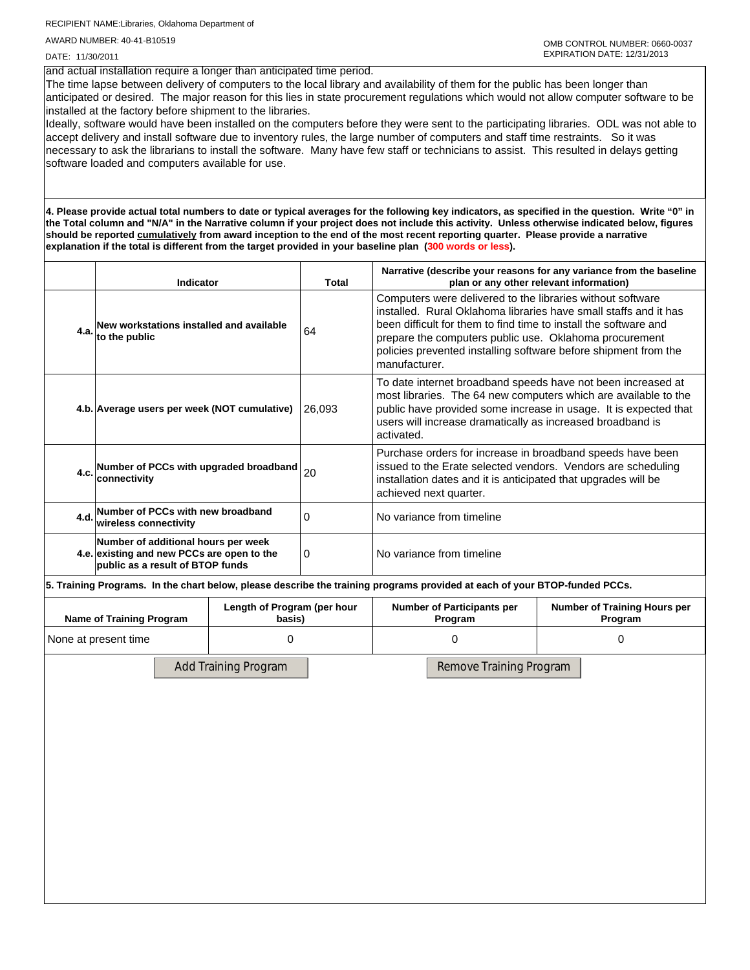RECIPIENT NAME:Libraries, Oklahoma Department of AWARD NUMBER: 40-41-B10519

DATE: 11/30/2011

## and actual installation require a longer than anticipated time period.

The time lapse between delivery of computers to the local library and availability of them for the public has been longer than anticipated or desired. The major reason for this lies in state procurement regulations which would not allow computer software to be installed at the factory before shipment to the libraries.

Ideally, software would have been installed on the computers before they were sent to the participating libraries. ODL was not able to accept delivery and install software due to inventory rules, the large number of computers and staff time restraints. So it was necessary to ask the librarians to install the software. Many have few staff or technicians to assist. This resulted in delays getting software loaded and computers available for use.

**4. Please provide actual total numbers to date or typical averages for the following key indicators, as specified in the question. Write "0" in the Total column and "N/A" in the Narrative column if your project does not include this activity. Unless otherwise indicated below, figures should be reported cumulatively from award inception to the end of the most recent reporting quarter. Please provide a narrative explanation if the total is different from the target provided in your baseline plan (300 words or less).** 

|                                                                                                                       | <b>Total</b><br><b>Indicator</b>                                     |   |                                              | Narrative (describe your reasons for any variance from the baseline<br>plan or any other relevant information)                                                                                                                                                                                                                                   |  |  |  |  |
|-----------------------------------------------------------------------------------------------------------------------|----------------------------------------------------------------------|---|----------------------------------------------|--------------------------------------------------------------------------------------------------------------------------------------------------------------------------------------------------------------------------------------------------------------------------------------------------------------------------------------------------|--|--|--|--|
| 4.a.                                                                                                                  | New workstations installed and available<br>to the public            |   | 64                                           | Computers were delivered to the libraries without software<br>installed. Rural Oklahoma libraries have small staffs and it has<br>been difficult for them to find time to install the software and<br>prepare the computers public use. Oklahoma procurement<br>policies prevented installing software before shipment from the<br>manufacturer. |  |  |  |  |
|                                                                                                                       | 26,093<br>4.b. Average users per week (NOT cumulative)               |   |                                              | To date internet broadband speeds have not been increased at<br>most libraries. The 64 new computers which are available to the<br>public have provided some increase in usage. It is expected that<br>users will increase dramatically as increased broadband is<br>activated.                                                                  |  |  |  |  |
|                                                                                                                       | 4.c. Number of PCCs with upgraded broadband $ _{20}$<br>connectivity |   |                                              | Purchase orders for increase in broadband speeds have been<br>issued to the Erate selected vendors. Vendors are scheduling<br>installation dates and it is anticipated that upgrades will be<br>achieved next quarter.                                                                                                                           |  |  |  |  |
|                                                                                                                       | 4.d. Number of PCCs with new broadband<br>wireless connectivity      |   | 0                                            | No variance from timeline                                                                                                                                                                                                                                                                                                                        |  |  |  |  |
| Number of additional hours per week<br>4.e. existing and new PCCs are open to the<br>public as a result of BTOP funds |                                                                      | 0 | No variance from timeline                    |                                                                                                                                                                                                                                                                                                                                                  |  |  |  |  |
|                                                                                                                       |                                                                      |   |                                              | 5. Training Programs. In the chart below, please describe the training programs provided at each of your BTOP-funded PCCs.                                                                                                                                                                                                                       |  |  |  |  |
| Length of Program (per hour<br><b>Name of Training Program</b><br>basis)                                              |                                                                      |   | <b>Number of Participants per</b><br>Program | Number of Training Hours per<br>Program                                                                                                                                                                                                                                                                                                          |  |  |  |  |
| $\Omega$<br>None at present time                                                                                      |                                                                      |   | 0<br>0                                       |                                                                                                                                                                                                                                                                                                                                                  |  |  |  |  |
| <b>Add Training Program</b><br>Remove Training Program                                                                |                                                                      |   |                                              |                                                                                                                                                                                                                                                                                                                                                  |  |  |  |  |
|                                                                                                                       |                                                                      |   |                                              |                                                                                                                                                                                                                                                                                                                                                  |  |  |  |  |
|                                                                                                                       |                                                                      |   |                                              |                                                                                                                                                                                                                                                                                                                                                  |  |  |  |  |
|                                                                                                                       |                                                                      |   |                                              |                                                                                                                                                                                                                                                                                                                                                  |  |  |  |  |
|                                                                                                                       |                                                                      |   |                                              |                                                                                                                                                                                                                                                                                                                                                  |  |  |  |  |
|                                                                                                                       |                                                                      |   |                                              |                                                                                                                                                                                                                                                                                                                                                  |  |  |  |  |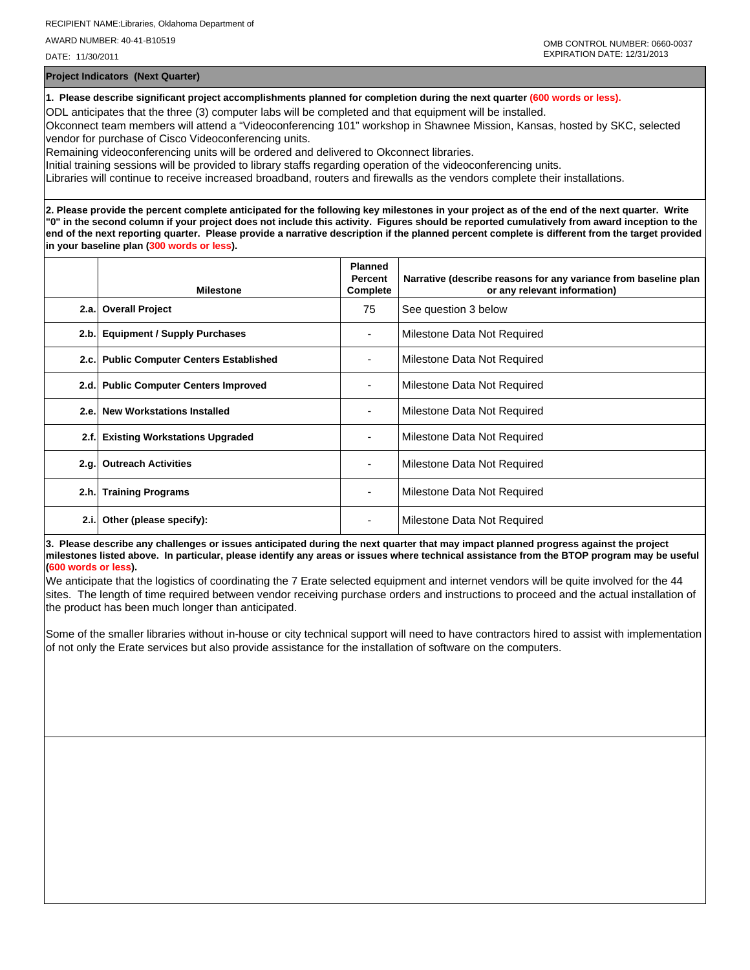**Project Indicators (Next Quarter)**

**1. Please describe significant project accomplishments planned for completion during the next quarter (600 words or less).**

ODL anticipates that the three (3) computer labs will be completed and that equipment will be installed.

Okconnect team members will attend a "Videoconferencing 101" workshop in Shawnee Mission, Kansas, hosted by SKC, selected vendor for purchase of Cisco Videoconferencing units.

Remaining videoconferencing units will be ordered and delivered to Okconnect libraries.

Initial training sessions will be provided to library staffs regarding operation of the videoconferencing units.

Libraries will continue to receive increased broadband, routers and firewalls as the vendors complete their installations.

**2. Please provide the percent complete anticipated for the following key milestones in your project as of the end of the next quarter. Write "0" in the second column if your project does not include this activity. Figures should be reported cumulatively from award inception to the end of the next reporting quarter. Please provide a narrative description if the planned percent complete is different from the target provided in your baseline plan (300 words or less).**

|      | <b>Milestone</b>                         | <b>Planned</b><br>Percent<br>Complete | Narrative (describe reasons for any variance from baseline plan<br>or any relevant information) |
|------|------------------------------------------|---------------------------------------|-------------------------------------------------------------------------------------------------|
| 2.a. | <b>Overall Project</b>                   | 75                                    | See question 3 below                                                                            |
| 2.b. | <b>Equipment / Supply Purchases</b>      |                                       | Milestone Data Not Required                                                                     |
|      | 2.c. Public Computer Centers Established |                                       | Milestone Data Not Required                                                                     |
|      | 2.d. Public Computer Centers Improved    |                                       | Milestone Data Not Required                                                                     |
|      | 2.e. New Workstations Installed          | ۰                                     | Milestone Data Not Required                                                                     |
| 2.f. | <b>Existing Workstations Upgraded</b>    |                                       | Milestone Data Not Required                                                                     |
| 2.g. | <b>Outreach Activities</b>               | ۰.                                    | Milestone Data Not Required                                                                     |
|      | 2.h. Training Programs                   | ٠                                     | Milestone Data Not Required                                                                     |
| 2.i. | Other (please specify):                  | ٠                                     | Milestone Data Not Required                                                                     |

**3. Please describe any challenges or issues anticipated during the next quarter that may impact planned progress against the project milestones listed above. In particular, please identify any areas or issues where technical assistance from the BTOP program may be useful (600 words or less).**

We anticipate that the logistics of coordinating the 7 Erate selected equipment and internet vendors will be quite involved for the 44 sites. The length of time required between vendor receiving purchase orders and instructions to proceed and the actual installation of the product has been much longer than anticipated.

Some of the smaller libraries without in-house or city technical support will need to have contractors hired to assist with implementation of not only the Erate services but also provide assistance for the installation of software on the computers.